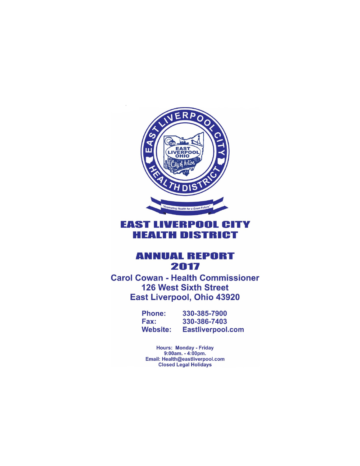

## **EAST LIVERPOOL CITY HEALTH DISTRICT**

### **ANNUAL REPORT** 2017

**Carol Cowan - Health Commissioner 126 West Sixth Street East Liverpool, Ohio 43920** 

> **Phone:** 330-385-7900 330-386-7403 Fax: **Eastliverpool.com Website:**

**Hours: Monday - Friday** 9:00am. - 4:00pm. Email: Health@eastliverpool.com **Closed Legal Holidays**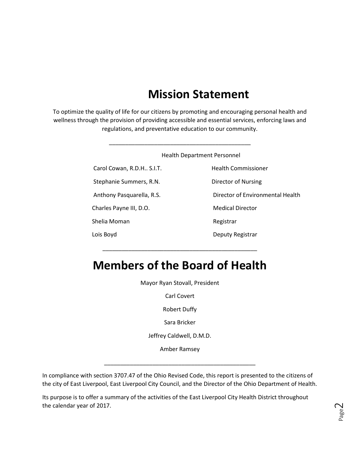# **Mission Statement**

To optimize the quality of life for our citizens by promoting and encouraging personal health and wellness through the provision of providing accessible and essential services, enforcing laws and regulations, and preventative education to our community.

|                             | <b>Health Department Personnel</b> |
|-----------------------------|------------------------------------|
| Carol Cowan, R.D.H., S.I.T. | <b>Health Commissioner</b>         |
| Stephanie Summers, R.N.     | Director of Nursing                |
| Anthony Pasquarella, R.S.   | Director of Environmental Health   |
| Charles Payne III, D.O.     | <b>Medical Director</b>            |
| Shelia Moman                | Registrar                          |
| Lois Boyd                   | Deputy Registrar                   |

# **Members of the Board of Health**

\_\_\_\_\_\_\_\_\_\_\_\_\_\_\_\_\_\_\_\_\_\_\_\_\_\_\_\_\_\_\_\_\_\_\_\_\_\_\_\_\_\_\_\_\_\_\_\_

Mayor Ryan Stovall, President

Carl Covert

Robert Duffy

Sara Bricker

Jeffrey Caldwell, D.M.D.

Amber Ramsey

\_\_\_\_\_\_\_\_\_\_\_\_\_\_\_\_\_\_\_\_\_\_\_\_\_\_\_\_\_\_\_\_\_\_\_\_\_\_\_\_\_\_\_\_\_\_\_

In compliance with section 3707.47 of the Ohio Revised Code, this report is presented to the citizens of the city of East Liverpool, East Liverpool City Council, and the Director of the Ohio Department of Health.

Its purpose is to offer a summary of the activities of the East Liverpool City Health District throughout the calendar year of 2017.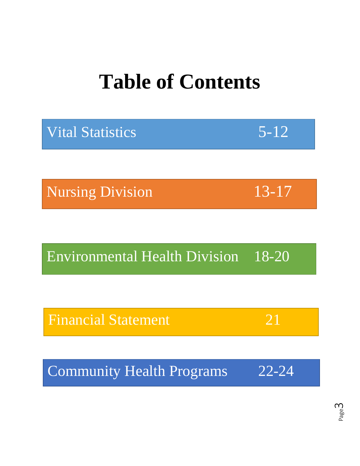# **Table of Contents**

| $5 - 12$  |
|-----------|
|           |
| $13 - 17$ |
|           |
| 18-20     |
|           |
| 21        |
|           |
| $22 - 24$ |
|           |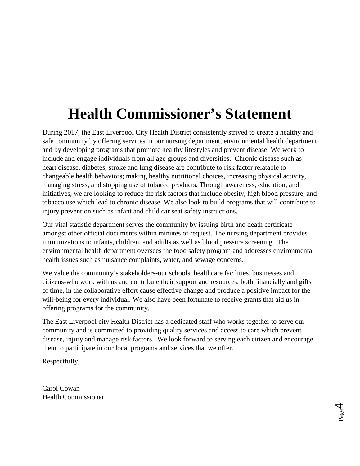# **Health Commissioner's Statement**

During 2017, the East Liverpool City Health District consistently strived to create a healthy and safe community by offering services in our nursing department, environmental health department and by developing programs that promote healthy lifestyles and prevent disease. We work to include and engage individuals from all age groups and diversities. Chronic disease such as heart disease, diabetes, stroke and lung disease are contribute to risk factor relatable to changeable health behaviors; making healthy nutritional choices, increasing physical activity, managing stress, and stopping use of tobacco products. Through awareness, education, and initiatives, we are looking to reduce the risk factors that include obesity, high blood pressure, and tobacco use which lead to chronic disease. We also look to build programs that will contribute to injury prevention such as infant and child car seat safety instructions.

Our vital statistic department serves the community by issuing birth and death certificate amongst other official documents within minutes of request. The nursing department provides immunizations to infants, children, and adults as well as blood pressure screening. The environmental health department oversees the food safety program and addresses environmental health issues such as nuisance complaints, water, and sewage concerns.

We value the community's stakeholders-our schools, healthcare facilities, businesses and citizens-who work with us and contribute their support and resources, both financially and gifts of time, in the collaborative effort cause effective change and produce a positive impact for the will-being for every individual. We also have been fortunate to receive grants that aid us in offering programs for the community.

The East Liverpool city Health District has a dedicated staff who works together to serve our community and is committed to providing quality services and access to care which prevent disease, injury and manage risk factors. We look forward to serving each citizen and encourage them to participate in our local programs and services that we offer.

Respectfully,

Carol Cowan Health Commissioner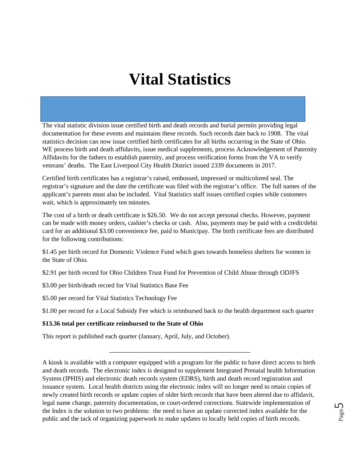The vital statistic division issue certified birth and death records and burial permits providing legal documentation for these events and maintains these records. Such records date back to 1908. The vital statistics decision can now issue certified birth certificates for all births occurring in the State of Ohio. WE process birth and death affidavits, issue medical supplements, process Acknowledgement of Paternity Affidavits for the fathers to establish paternity, and process verification forms from the VA to verify veterans' deaths. The East Liverpool City Health District issued 2339 documents in 2017.

Certified birth certificates has a registrar's raised, embossed, impressed or multicolored seal. The registrar's signature and the date the certificate was filed with the registrar's office. The full names of the applicant's parents must also be included. Vital Statistics staff issues certified copies while customers wait, which is approximately ten minutes.

The cost of a birth or death certificate is \$26.50. We do not accept personal checks. However, payment can be made with money orders, cashier's checks or cash. Also, payments may be paid with a credit/debit card for an additional \$3.00 convenience fee, paid to Municipay. The birth certificate fees are distributed for the following contributions:

\$1.45 per birth record for Domestic Violence Fund which goes towards homeless shelters for women in the State of Ohio.

\$2.91 per birth record for Ohio Children Trust Fund for Prevention of Child Abuse through ODJFS

\$3.00 per birth/death record for Vital Statistics Base Fee

\$5.00 per record for Vital Statistics Technology Fee

\$1.00 per record for a Local Subsidy Fee which is reimbursed back to the health department each quarter

#### **\$13.36 total per certificate reimbursed to the State of Ohio**

This report is published each quarter (January, April, July, and October).

A kiosk is available with a computer equipped with a program for the public to have direct access to birth and death records. The electronic index is designed to supplement Integrated Prenatal health Information System (IPHIS) and electronic death records system (EDRS), birth and death record registration and issuance system. Local health districts using the electronic index will no longer need to retain copies of newly created birth records or update copies of older birth records that have been altered due to affidavit, legal name change, paternity documentation, or court-ordered corrections. Statewide implementation of the Index is the solution to two problems: the need to have an update corrected index available for the public and the tack of organizing paperwork to make updates to locally held copies of birth records.

\_\_\_\_\_\_\_\_\_\_\_\_\_\_\_\_\_\_\_\_\_\_\_\_\_\_\_\_\_\_\_\_\_\_\_\_\_\_\_\_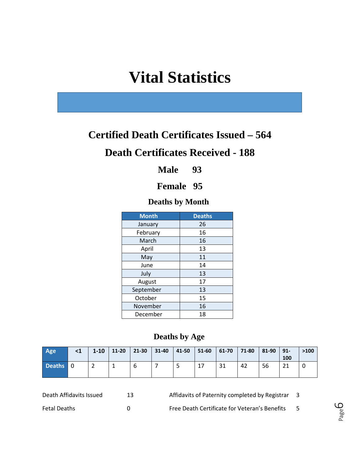# **Certified Death Certificates Issued – 564**

## **Death Certificates Received - 188**

**Male 93**

### **Female 95**

### **Deaths by Month**

| <b>Month</b> | <b>Deaths</b> |
|--------------|---------------|
| January      | 26            |
| February     | 16            |
| March        | 16            |
| April        | 13            |
| May          | 11            |
| June         | 14            |
| July         | 13            |
| August       | 17            |
| September    | 13            |
| October      | 15            |
| November     | 16            |
| December     | 18            |

### **Deaths by Age**

| Age      | $1-10$ | $11 - 20$ | 21-30 | $31 - 40$ | $ 41-50 51-60 61-70$ |    | $ 71-80 $ | $ 81-90 91-$ | 100 | >100 |
|----------|--------|-----------|-------|-----------|----------------------|----|-----------|--------------|-----|------|
| Deaths 0 |        |           | b     |           |                      | 31 | 42        | 56           | ำ1  |      |

| Death Affidavits Issued | Affidavits of Paternity completed by Registrar | - 3 |
|-------------------------|------------------------------------------------|-----|
| <b>Fetal Deaths</b>     | Free Death Certificate for Veteran's Benefits  |     |

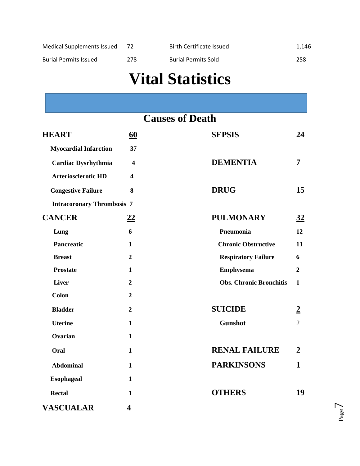| Medical Supplements Issued |      | Birth Certificate Issued   | 1,146 |
|----------------------------|------|----------------------------|-------|
| Burial Permits Issued      | 278. | <b>Burial Permits Sold</b> | 258   |

|                                   |                         | <b>Causes of Death</b>         |                |
|-----------------------------------|-------------------------|--------------------------------|----------------|
| <b>HEART</b>                      | 60                      | <b>SEPSIS</b>                  | 24             |
| <b>Myocardial Infarction</b>      | 37                      |                                |                |
| <b>Cardiac Dysrhythmia</b>        | $\overline{\mathbf{4}}$ | <b>DEMENTIA</b>                | 7              |
| <b>Arteriosclerotic HD</b>        | $\overline{\mathbf{4}}$ |                                |                |
| <b>Congestive Failure</b>         | 8                       | <b>DRUG</b>                    | 15             |
| <b>Intracoronary Thrombosis 7</b> |                         |                                |                |
| <b>CANCER</b>                     | <u>22</u>               | <b>PULMONARY</b>               | 32             |
| Lung                              | 6                       | Pneumonia                      | 12             |
| <b>Pancreatic</b>                 | 1                       | <b>Chronic Obstructive</b>     | 11             |
| <b>Breast</b>                     | $\overline{2}$          | <b>Respiratory Failure</b>     | 6              |
| <b>Prostate</b>                   | $\mathbf{1}$            | <b>Emphysema</b>               | $\overline{2}$ |
| <b>Liver</b>                      | $\boldsymbol{2}$        | <b>Obs. Chronic Bronchitis</b> | 1              |
| <b>Colon</b>                      | $\boldsymbol{2}$        |                                |                |
| <b>Bladder</b>                    | $\boldsymbol{2}$        | <b>SUICIDE</b>                 | $\overline{2}$ |
| <b>Uterine</b>                    | $\mathbf{1}$            | <b>Gunshot</b>                 | $\overline{2}$ |
| Ovarian                           | $\mathbf{1}$            |                                |                |
| Oral                              | $\mathbf{1}$            | <b>RENAL FAILURE</b>           | $\overline{2}$ |
| <b>Abdominal</b>                  | $\mathbf{1}$            | <b>PARKINSONS</b>              | $\mathbf{1}$   |
| <b>Esophageal</b>                 | $\mathbf{1}$            |                                |                |
| <b>Rectal</b>                     | $\mathbf{1}$            | <b>OTHERS</b>                  | 19             |
| <b>VASCUALAR</b>                  | $\overline{\mathbf{4}}$ |                                |                |

Page  $\overline{\phantom{a}}$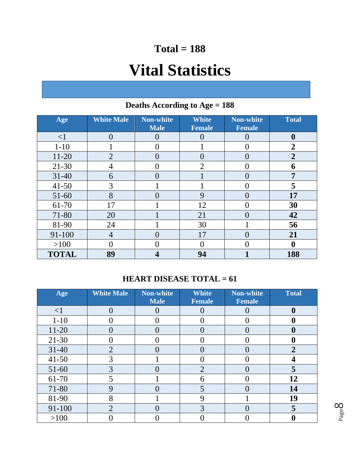# **Total = 188**

# **Vital Statistics**

| Age          | <b>White Male</b> | <b>Non-white</b><br><b>Male</b> | <b>White</b><br><b>Female</b> | <b>Non-white</b><br><b>Female</b> | <b>Total</b>     |
|--------------|-------------------|---------------------------------|-------------------------------|-----------------------------------|------------------|
| $\leq$ 1     | $\Omega$          |                                 |                               |                                   | $\boldsymbol{0}$ |
| $1 - 10$     |                   |                                 |                               |                                   | $\overline{2}$   |
| $11 - 20$    | $\overline{2}$    |                                 | 0                             | ( )                               | $\overline{2}$   |
| $21 - 30$    |                   |                                 | $\overline{2}$                |                                   | 6                |
| $31 - 40$    | 6                 |                                 |                               | ( )                               | 7                |
| $41 - 50$    | 3                 |                                 |                               |                                   | 5                |
| $51 - 60$    | 8                 |                                 | 9                             | $\mathbf{\mathcal{L}}$            | 17               |
| 61-70        | 17                |                                 | 12                            |                                   | 30               |
| 71-80        | 20                |                                 | 21                            | ( )                               | 42               |
| 81-90        | 24                |                                 | 30                            |                                   | 56               |
| 91-100       | 4                 |                                 | 17                            | $\mathcal{O}(\mathcal{A})$        | 21               |
| >100         |                   |                                 |                               |                                   | 0                |
| <b>TOTAL</b> | 89                |                                 | 94                            |                                   | 188              |

## **Deaths According to Age = 188**

### **HEART DISEASE TOTAL = 61**

| Age       | <b>White Male</b> | <b>Non-white</b><br><b>Male</b> | <b>White</b><br><b>Female</b> | <b>Non-white</b><br><b>Female</b> | <b>Total</b>   |
|-----------|-------------------|---------------------------------|-------------------------------|-----------------------------------|----------------|
| $\leq$ 1  |                   |                                 |                               |                                   |                |
| $1-10$    |                   |                                 |                               |                                   |                |
| $11-20$   |                   |                                 |                               |                                   |                |
| $21 - 30$ |                   |                                 |                               |                                   |                |
| $31 - 40$ | $\overline{2}$    |                                 |                               |                                   | $\overline{2}$ |
| $41 - 50$ |                   |                                 |                               |                                   |                |
| 51-60     | 3                 |                                 | $\overline{2}$                |                                   |                |
| 61-70     |                   |                                 | ჩ                             |                                   | 12             |
| 71-80     | 9                 |                                 |                               |                                   | 14             |
| 81-90     | 8                 |                                 |                               |                                   | 19             |
| 91-100    | $\overline{2}$    |                                 | 3                             |                                   | 5              |
| >100      |                   |                                 |                               |                                   |                |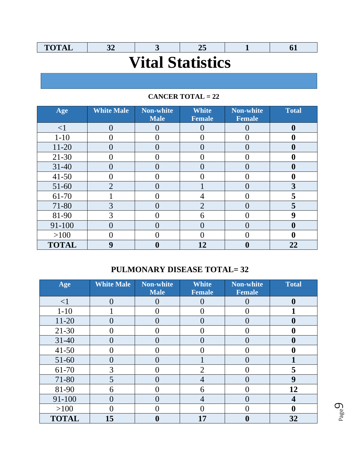| <b>TOTAL</b>            |  |  |  |  |  |  |  |
|-------------------------|--|--|--|--|--|--|--|
| <b>Vital Statistics</b> |  |  |  |  |  |  |  |
|                         |  |  |  |  |  |  |  |

### **CANCER TOTAL = 22**

| Age          | <b>White Male</b> | <b>Non-white</b><br><b>Male</b> | <b>White</b><br><b>Female</b> | <b>Non-white</b><br><b>Female</b> | <b>Total</b> |
|--------------|-------------------|---------------------------------|-------------------------------|-----------------------------------|--------------|
| $\leq$ 1     |                   |                                 |                               |                                   |              |
| $1 - 10$     |                   |                                 |                               |                                   |              |
| $11 - 20$    |                   |                                 |                               |                                   |              |
| $21 - 30$    |                   |                                 |                               |                                   |              |
| $31 - 40$    |                   |                                 |                               |                                   |              |
| $41 - 50$    |                   |                                 |                               |                                   |              |
| 51-60        | $\overline{2}$    |                                 |                               |                                   | 3            |
| 61-70        |                   |                                 |                               |                                   | 5            |
| 71-80        | 3                 |                                 | $\overline{2}$                |                                   | 5            |
| 81-90        | 3                 |                                 | 6                             |                                   | q            |
| 91-100       |                   |                                 |                               |                                   |              |
| $>100$       |                   |                                 |                               |                                   |              |
| <b>TOTAL</b> | 9                 |                                 | 12                            |                                   | 22           |

## **PULMONARY DISEASE TOTAL= 32**

| Age          | <b>White Male</b>          | <b>Non-white</b><br><b>Male</b> | <b>White</b><br><b>Female</b> | <b>Non-white</b><br><b>Female</b> | <b>Total</b> |
|--------------|----------------------------|---------------------------------|-------------------------------|-----------------------------------|--------------|
| $\leq$ 1     | $\Omega$                   |                                 |                               |                                   | 0            |
| $1 - 10$     |                            |                                 |                               |                                   |              |
| $11 - 20$    | ( )                        |                                 |                               |                                   | O            |
| $21 - 30$    |                            |                                 |                               |                                   |              |
| $31 - 40$    | ( )                        |                                 |                               |                                   | O            |
| $41 - 50$    |                            |                                 |                               |                                   |              |
| $51 - 60$    | $\mathcal{O}(\mathcal{O})$ |                                 |                               |                                   |              |
| 61-70        | 3                          |                                 | $\overline{2}$                |                                   | 5            |
| 71-80        | 5                          |                                 | 4                             |                                   | 9            |
| 81-90        | 6                          |                                 | 6                             |                                   | 12           |
| 91-100       |                            |                                 |                               |                                   | 4            |
| >100         |                            |                                 |                               |                                   |              |
| <b>TOTAL</b> | 15                         |                                 | 17                            |                                   | 32           |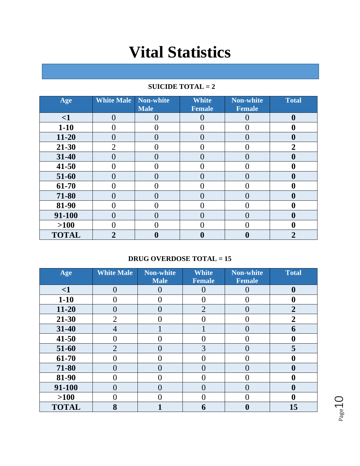| Age          | <b>White Male</b> | Non-white<br><b>Male</b> | <b>White</b><br><b>Female</b> | <b>Non-white</b><br><b>Female</b> | <b>Total</b>     |
|--------------|-------------------|--------------------------|-------------------------------|-----------------------------------|------------------|
| $\leq$ 1     | 0                 | $\mathcal{O}$            |                               |                                   | $\boldsymbol{0}$ |
| $1 - 10$     |                   |                          |                               |                                   | 0                |
| $11 - 20$    | 0                 | $\mathcal{O}$            |                               |                                   | 0                |
| 21-30        | $\overline{2}$    |                          |                               |                                   | $\boldsymbol{2}$ |
| 31-40        | $\left( \right)$  | 0                        |                               |                                   | $\boldsymbol{0}$ |
| 41-50        |                   |                          |                               |                                   | 0                |
| 51-60        | 0                 |                          |                               |                                   | 0                |
| 61-70        |                   |                          |                               |                                   | 0                |
| 71-80        | 0                 |                          |                               |                                   | 0                |
| 81-90        |                   |                          |                               |                                   | O                |
| 91-100       | ( )               |                          |                               |                                   | $\mathbf 0$      |
| $>100$       |                   |                          |                               |                                   | 0                |
| <b>TOTAL</b> | $\overline{2}$    |                          |                               |                                   | 2                |

### **SUICIDE TOTAL = 2**

### **DRUG OVERDOSE TOTAL = 15**

| Age          | <b>White Male</b> | Non-white<br><b>Male</b> | <b>White</b><br><b>Female</b> | <b>Non-white</b><br><b>Female</b> | <b>Total</b>     |
|--------------|-------------------|--------------------------|-------------------------------|-----------------------------------|------------------|
| $\leq$ 1     | 0                 |                          |                               |                                   | $\boldsymbol{0}$ |
| $1-10$       | 0                 | $\left( \right)$         |                               |                                   | $\mathbf 0$      |
| $11 - 20$    | 0                 | 0                        | $\overline{2}$                | 0                                 | 2                |
| 21-30        | $\overline{2}$    |                          |                               |                                   | 2                |
| 31-40        | 4                 |                          |                               | 0                                 | 6                |
| 41-50        | 0                 |                          |                               |                                   | 0                |
| 51-60        | $\overline{2}$    | $\mathcal{O}$            | 3                             | ( )                               | 5                |
| 61-70        | 0                 |                          |                               |                                   | 0                |
| 71-80        | 0                 | $\mathcal{O}$            |                               | ( )                               | $\boldsymbol{0}$ |
| 81-90        |                   |                          |                               |                                   | $\mathbf 0$      |
| 91-100       | $\mathcal{O}$     | $\mathcal{O}$            | ( )                           | $\mathbf{\Omega}$                 | $\mathbf 0$      |
| $>100$       |                   |                          |                               |                                   | 0                |
| <b>TOTAL</b> | 8                 |                          | 6                             |                                   | 15               |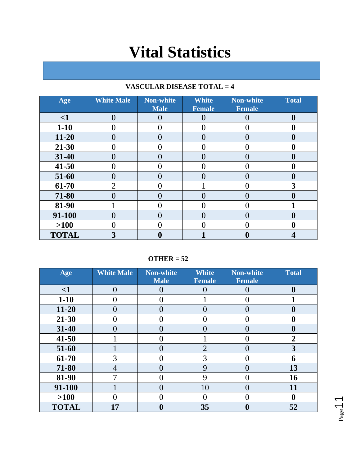| Age          | <b>White Male</b> | <b>Non-white</b><br><b>Male</b> | <b>White</b><br><b>Female</b> | <b>Non-white</b><br><b>Female</b> | <b>Total</b> |
|--------------|-------------------|---------------------------------|-------------------------------|-----------------------------------|--------------|
| $\leq$ 1     | 0                 |                                 |                               |                                   | 0            |
| $1 - 10$     |                   | ( )                             |                               |                                   |              |
| $11 - 20$    |                   | 0                               |                               |                                   |              |
| 21-30        |                   |                                 |                               |                                   |              |
| 31-40        |                   | $\left( \right)$                |                               |                                   |              |
| $41 - 50$    |                   |                                 |                               |                                   |              |
| 51-60        |                   | O                               |                               |                                   |              |
| 61-70        | $\overline{2}$    |                                 |                               |                                   | 3            |
| 71-80        |                   |                                 |                               |                                   |              |
| 81-90        |                   |                                 |                               |                                   |              |
| 91-100       |                   | O                               |                               |                                   |              |
| $>100$       |                   |                                 |                               |                                   |              |
| <b>TOTAL</b> |                   | U                               |                               |                                   |              |

### **VASCULAR DISEASE TOTAL = 4**

**OTHER = 52**

| Age          | <b>White Male</b> | <b>Non-white</b> | <b>White</b>   | <b>Non-white</b> | <b>Total</b>     |
|--------------|-------------------|------------------|----------------|------------------|------------------|
|              |                   | <b>Male</b>      | <b>Female</b>  | <b>Female</b>    |                  |
| $\leq$ 1     | 0                 |                  |                |                  | $\boldsymbol{0}$ |
| $1-10$       | ( )               | $\left( \right)$ |                | 0                |                  |
| $11 - 20$    | 0                 | $\Omega$         |                | $\mathcal{O}$    | 0                |
| 21-30        | ( )               |                  |                | 0                | $\boldsymbol{0}$ |
| 31-40        | 0                 |                  |                | ()               | $\boldsymbol{0}$ |
| 41-50        |                   |                  |                |                  | $\overline{2}$   |
| 51-60        |                   |                  | $\overline{2}$ | 0                | 3                |
| 61-70        | 3                 | $\left($         | 3              | $\theta$         | 6                |
| 71-80        | $\overline{4}$    |                  | 9              | $\left( \right)$ | 13               |
| 81-90        | 7                 | $\left($         | 9              | 0                | 16               |
| 91-100       |                   | $\Omega$         | 10             | $\Omega$         | 11               |
| $>100$       | 0                 |                  | $\mathcal{O}$  | ( )              | $\boldsymbol{0}$ |
| <b>TOTAL</b> | 17                |                  | 35             | 0                | 52               |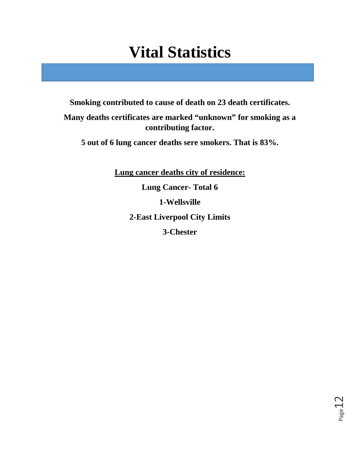**Smoking contributed to cause of death on 23 death certificates.**

**Many deaths certificates are marked "unknown" for smoking as a contributing factor.**

**5 out of 6 lung cancer deaths sere smokers. That is 83%.**

**Lung cancer deaths city of residence: Lung Cancer- Total 6 1-Wellsville 2-East Liverpool City Limits 3-Chester**

Page1.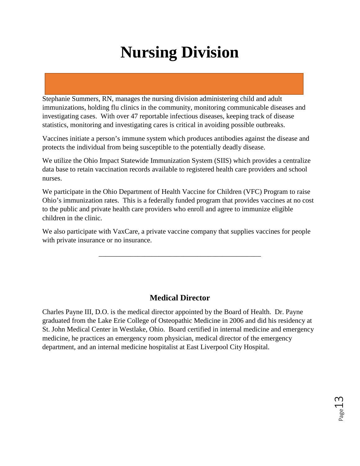Stephanie Summers, RN, manages the nursing division administering child and adult immunizations, holding flu clinics in the community, monitoring communicable diseases and investigating cases. With over 47 reportable infectious diseases, keeping track of disease statistics, monitoring and investigating cares is critical in avoiding possible outbreaks.

Vaccines initiate a person's immune system which produces antibodies against the disease and protects the individual from being susceptible to the potentially deadly disease.

We utilize the Ohio Impact Statewide Immunization System (SIIS) which provides a centralize data base to retain vaccination records available to registered health care providers and school nurses.

We participate in the Ohio Department of Health Vaccine for Children (VFC) Program to raise Ohio's immunization rates. This is a federally funded program that provides vaccines at no cost to the public and private health care providers who enroll and agree to immunize eligible children in the clinic.

We also participate with VaxCare, a private vaccine company that supplies vaccines for people with private insurance or no insurance.

\_\_\_\_\_\_\_\_\_\_\_\_\_\_\_\_\_\_\_\_\_\_\_\_\_\_\_\_\_\_\_\_\_\_\_\_\_\_\_\_\_\_\_\_\_\_

### **Medical Director**

Charles Payne III, D.O. is the medical director appointed by the Board of Health. Dr. Payne graduated from the Lake Erie College of Osteopathic Medicine in 2006 and did his residency at St. John Medical Center in Westlake, Ohio. Board certified in internal medicine and emergency medicine, he practices an emergency room physician, medical director of the emergency department, and an internal medicine hospitalist at East Liverpool City Hospital.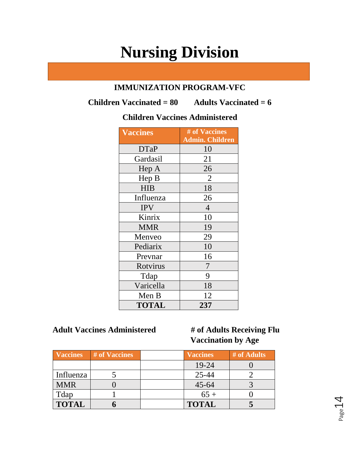### **IMMUNIZATION PROGRAM-VFC**

**Children Vaccinated = 80 Adults Vaccinated = 6**

### **Children Vaccines Administered**

| <b>Vaccines</b> | # of Vaccines<br><b>Admin. Children</b> |
|-----------------|-----------------------------------------|
| <b>DTaP</b>     | 10                                      |
| Gardasil        | 21                                      |
| Hep A           | 26                                      |
| Hep B           | $\overline{2}$                          |
| <b>HIB</b>      | 18                                      |
| Influenza       | 26                                      |
| <b>IPV</b>      | $\overline{4}$                          |
| Kinrix          | 10                                      |
| <b>MMR</b>      | 19                                      |
| Menveo          | 29                                      |
| Pediarix        | 10                                      |
| Prevnar         | 16                                      |
| Rotvirus        | 7                                       |
| Tdap            | 9                                       |
| Varicella       | 18                                      |
| Men B           | 12                                      |
| <b>TOTAL</b>    | 237                                     |

### **Adult Vaccines Administered # of Adults Receiving Flu**

# **Vaccination by Age**

| <b>Vaccines</b> | # of Vaccines | <b>Vaccines</b> | # of Adults |
|-----------------|---------------|-----------------|-------------|
|                 |               | 19-24           |             |
| Influenza       |               | $25 - 44$       |             |
| <b>MMR</b>      |               | $45 - 64$       |             |
| Tdap            |               | $65+$           |             |
| <b>TOTAL</b>    |               | <b>TOTAL</b>    |             |

Page 14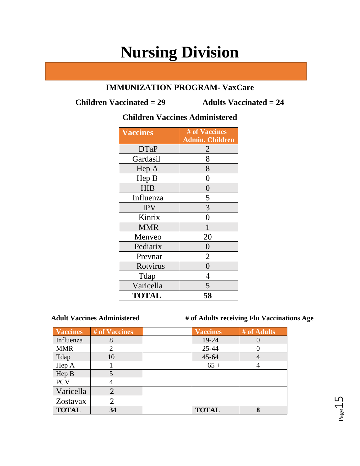### **IMMUNIZATION PROGRAM- VaxCare**

**Children Vaccinated = 29 Adults Vaccinated = 24**

### **Children Vaccines Administered**

| <b>Vaccines</b> | # of Vaccines<br><b>Admin. Children</b> |
|-----------------|-----------------------------------------|
| <b>DTaP</b>     | 2                                       |
| Gardasil        | 8                                       |
| Hep A           | 8                                       |
| Hep B           | $\overline{0}$                          |
| <b>HIB</b>      | $\overline{0}$                          |
| Influenza       | 5                                       |
| <b>IPV</b>      | 3                                       |
| Kinrix          | 0                                       |
| <b>MMR</b>      | 1                                       |
| Menveo          | 20                                      |
| Pediarix        | 0                                       |
| Prevnar         | $\overline{2}$                          |
| Rotvirus        | $\overline{0}$                          |
| Tdap            | 4                                       |
| Varicella       | 5                                       |
| <b>TOTAL</b>    | 58                                      |

 **Adult Vaccines Administered # of Adults receiving Flu Vaccinations Age**

| Vaccines     | # of Vaccines | <b>Vaccines</b> | # of Adults |
|--------------|---------------|-----------------|-------------|
| Influenza    | 8             | 19-24           |             |
| <b>MMR</b>   |               | 25-44           |             |
| Tdap         | 10            | 45-64           |             |
| Hep A        |               | $65 +$          |             |
| Hep B        | 5             |                 |             |
| <b>PCV</b>   |               |                 |             |
| Varicella    |               |                 |             |
| Zostavax     |               |                 |             |
| <b>TOTAL</b> | 34            | <b>TOTAL</b>    | $\mathbf Q$ |

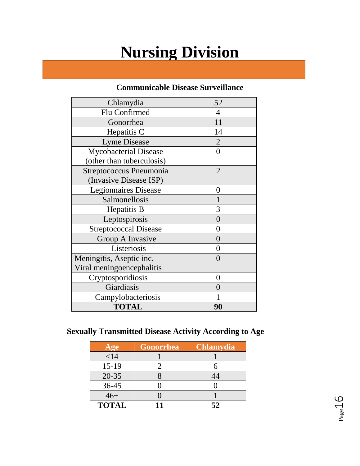### **Communicable Disease Surveillance**

| Chlamydia                    | 52                |
|------------------------------|-------------------|
| Flu Confirmed                | 4                 |
| Gonorrhea                    | 11                |
| Hepatitis C                  | 14                |
| <b>Lyme Disease</b>          | $\overline{2}$    |
| <b>Mycobacterial Disease</b> | ∩                 |
| (other than tuberculosis)    |                   |
| Streptococcus Pneumonia      | $\overline{2}$    |
| (Invasive Disease ISP)       |                   |
| <b>Legionnaires Disease</b>  | 0                 |
| Salmonellosis                |                   |
| Hepatitis B                  | 3                 |
| Leptospirosis                | $\Omega$          |
| <b>Streptococcal Disease</b> | 0                 |
| Group A Invasive             | $\mathcal{O}$     |
| Listeriosis                  | 0                 |
| Meningitis, Aseptic inc.     | 0                 |
| Viral meningoencephalitis    |                   |
| Cryptosporidiosis            | $\mathbf{\Omega}$ |
| Giardiasis                   |                   |
| Campylobacteriosis           |                   |
| <b>TOTAL</b>                 | 90                |

## **Sexually Transmitted Disease Activity According to Age**

| Age          | Gonorrhea | <b>Chlamydia</b> |
|--------------|-----------|------------------|
| $<$ 14       |           |                  |
| $15-19$      |           |                  |
| $20 - 35$    |           | 44               |
| 36-45        |           |                  |
| $46+$        |           |                  |
| <b>TOTAL</b> |           | 52               |

Page16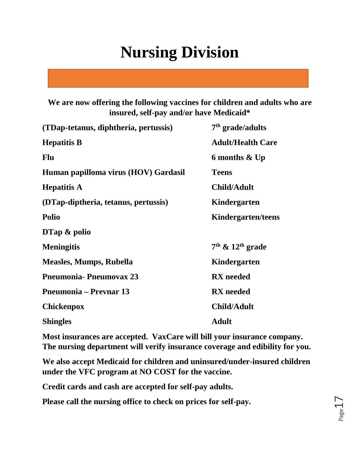**We are now offering the following vaccines for children and adults who are insured, self-pay and/or have Medicaid\*** 

| (TDap-tetanus, diphtheria, pertussis) | $7th$ grade/adults        |
|---------------------------------------|---------------------------|
| <b>Hepatitis B</b>                    | <b>Adult/Health Care</b>  |
| <b>Flu</b>                            | 6 months & Up             |
| Human papilloma virus (HOV) Gardasil  | <b>Teens</b>              |
| <b>Hepatitis A</b>                    | <b>Child/Adult</b>        |
| (DTap-diptheria, tetanus, pertussis)  | Kindergarten              |
| <b>Polio</b>                          | <b>Kindergarten/teens</b> |
| $DTap \&$ polio                       |                           |
| <b>Meningitis</b>                     | $7th$ & $12th$ grade      |
| <b>Measles, Mumps, Rubella</b>        | Kindergarten              |
| <b>Pneumonia-Pneumovax 23</b>         | <b>RX</b> needed          |
| <b>Pneumonia – Prevnar 13</b>         | <b>RX</b> needed          |
| <b>Chickenpox</b>                     | <b>Child/Adult</b>        |
| <b>Shingles</b>                       | <b>Adult</b>              |

**Most insurances are accepted. VaxCare will bill your insurance company. The nursing department will verify insurance coverage and edibility for you.**

**We also accept Medicaid for children and uninsured/under-insured children under the VFC program at NO COST for the vaccine.**

**Credit cards and cash are accepted for self-pay adults.** 

**Please call the nursing office to check on prices for self-pay.**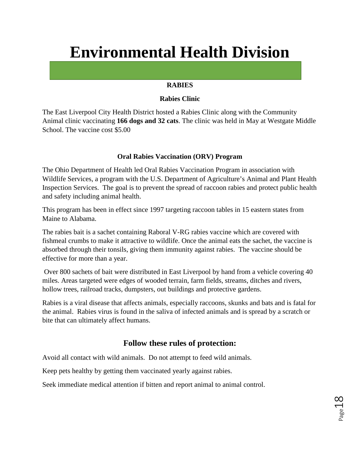# **Environmental Health Division**

#### **RABIES**

#### **Rabies Clinic**

The East Liverpool City Health District hosted a Rabies Clinic along with the Community Animal clinic vaccinating **166 dogs and 32 cats**. The clinic was held in May at Westgate Middle School. The vaccine cost \$5.00

#### **Oral Rabies Vaccination (ORV) Program**

The Ohio Department of Health led Oral Rabies Vaccination Program in association with Wildlife Services, a program with the U.S. Department of Agriculture's Animal and Plant Health Inspection Services. The goal is to prevent the spread of raccoon rabies and protect public health and safety including animal health.

This program has been in effect since 1997 targeting raccoon tables in 15 eastern states from Maine to Alabama.

The rabies bait is a sachet containing Raboral V-RG rabies vaccine which are covered with fishmeal crumbs to make it attractive to wildlife. Once the animal eats the sachet, the vaccine is absorbed through their tonsils, giving them immunity against rabies. The vaccine should be effective for more than a year.

Over 800 sachets of bait were distributed in East Liverpool by hand from a vehicle covering 40 miles. Areas targeted were edges of wooded terrain, farm fields, streams, ditches and rivers, hollow trees, railroad tracks, dumpsters, out buildings and protective gardens.

Rabies is a viral disease that affects animals, especially raccoons, skunks and bats and is fatal for the animal. Rabies virus is found in the saliva of infected animals and is spread by a scratch or bite that can ultimately affect humans.

### **Follow these rules of protection:**

Avoid all contact with wild animals. Do not attempt to feed wild animals.

Keep pets healthy by getting them vaccinated yearly against rabies.

Seek immediate medical attention if bitten and report animal to animal control.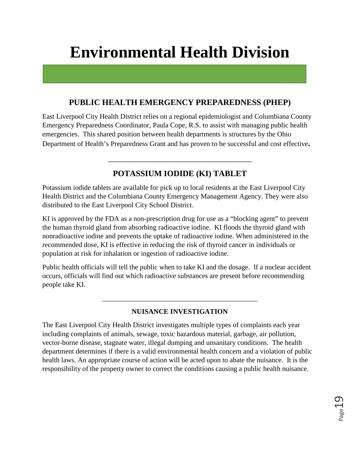# **Environmental Health Division**

### **PUBLIC HEALTH EMERGENCY PREPAREDNESS (PHEP)**

East Liverpool City Health District relies on a regional epidemiologist and Columbiana County Emergency Preparedness Coordinator, Paula Cope, R.S. to assist with managing public health emergencies. This shared position between health departments is structures by the Ohio Department of Health's Preparedness Grant and has proven to be successful and cost effective**.** 

### **POTASSIUM IODIDE (KI) TABLET**

\_\_\_\_\_\_\_\_\_\_\_\_\_\_\_\_\_\_\_\_\_\_\_\_\_\_\_\_\_\_\_\_\_\_\_

Potassium iodide tablets are available for pick up to local residents at the East Liverpool City Health District and the Columbiana County Emergency Management Agency. They were also distributed to the East Liverpool City School District.

KI is approved by the FDA as a non-prescription drug for use as a "blocking agent" to prevent the human thyroid gland from absorbing radioactive iodine. KI floods the thyroid gland with nonradioactive iodine and prevents the uptake of radioactive iodine. When administered in the recommended dose, KI is effective in reducing the risk of thyroid cancer in individuals or population at risk for inhalation or ingestion of radioactive iodine.

Public health officials will tell the public when to take KI and the dosage. If a nuclear accident occurs, officials will find out which radioactive substances are present before recommending people take KI.

### **NUISANCE INVESTIGATION**

\_\_\_\_\_\_\_\_\_\_\_\_\_\_\_\_\_\_\_\_\_\_\_\_\_\_\_\_\_\_\_\_\_\_\_\_\_\_\_\_\_\_\_\_

The East Liverpool City Health District investigates multiple types of complaints each year including complaints of animals, sewage, toxic hazardous material, garbage, air pollution, vector-borne disease, stagnate water, illegal dumping and unsanitary conditions. The health department determines if there is a valid environmental health concern and a violation of public health laws. An appropriate course of action will be acted upon to abate the nuisance. It is the responsibility of the property owner to correct the conditions causing a public health nuisance.

Page19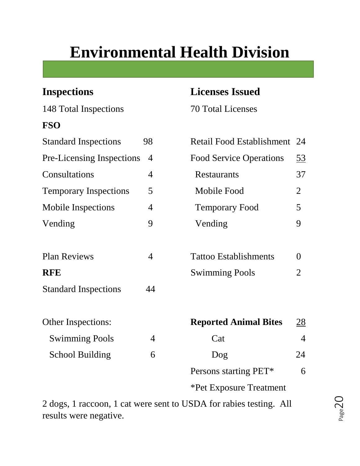# **Environmental Health Division**

148 Total Inspections 70 Total Licenses **FSO** Standard Inspections 98 Retail Food Establishment 24 Temporary Inspections 5 Mobile Inspections 4 Vending 9

# Other Inspections: **Reported Animal Bites** 28 Swimming Pools 4 Cat 4 4 School Building 6 Persons starting PET\* 6

2 dogs, 1 raccoon, 1 cat were sent to USDA for rabies testing. All results were negative.

# **Inspections Licenses Issued**

| <b>Standard Inspections</b>  | 98             | Retail Food Establishment      | 24               |
|------------------------------|----------------|--------------------------------|------------------|
| Pre-Licensing Inspections    | $\overline{4}$ | <b>Food Service Operations</b> | <u>53</u>        |
| Consultations                | $\overline{4}$ | Restaurants                    | 37               |
| <b>Temporary Inspections</b> | 5              | Mobile Food                    | $\overline{2}$   |
| <b>Mobile Inspections</b>    | $\overline{4}$ | <b>Temporary Food</b>          | 5                |
| Vending                      | 9              | Vending                        | 9                |
| <b>Plan Reviews</b>          | $\overline{4}$ | <b>Tattoo Establishments</b>   | $\theta$         |
| <b>RFE</b>                   |                | <b>Swimming Pools</b>          | $\overline{2}$   |
| <b>Standard Inspections</b>  | 44             |                                |                  |
| Other Inspections:           |                | <b>Reported Animal Bites</b>   | $\underline{28}$ |
| <b>Swimming Pools</b>        | 4              | Cat                            | $\overline{4}$   |
| <b>School Building</b>       | 6              | Dog                            | 24               |
|                              |                | Persons starting PET*          | 6                |
|                              |                | <b>*Pet Exposure Treatment</b> |                  |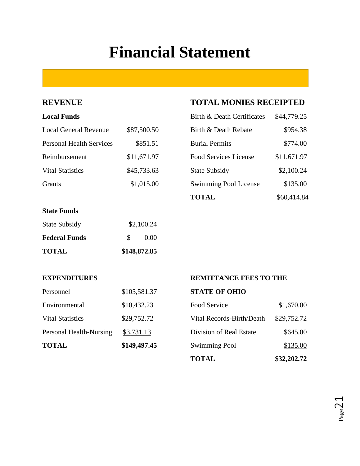# **Financial Statement**

### **Local Funds**

| <b>Local General Revenue</b>    | \$87,500.50 | Birth & Death Rebate         | \$954.38    |
|---------------------------------|-------------|------------------------------|-------------|
| <b>Personal Health Services</b> | \$851.51    | <b>Burial Permits</b>        | \$774.00    |
| Reimbursement                   | \$11,671.97 | Food Services License        | \$11,671.97 |
| <b>Vital Statistics</b>         | \$45,733.63 | <b>State Subsidy</b>         | \$2,100.24  |
| Grants                          | \$1,015.00  | <b>Swimming Pool License</b> | \$135.00    |

#### **State Funds**

| <b>TOTAL</b>         | \$148,872.85 |  |
|----------------------|--------------|--|
| <b>Federal Funds</b> | 0.00         |  |
| <b>State Subsidy</b> | \$2,100.24   |  |

### **REVENUE TOTAL MONIES RECEIPTED**

| Birth & Death Certificates   | \$44,779.25 |
|------------------------------|-------------|
| Birth & Death Rebate         | \$954.38    |
| <b>Burial Permits</b>        | \$774.00    |
| <b>Food Services License</b> | \$11,671.97 |
| <b>State Subsidy</b>         | \$2,100.24  |
| Swimming Pool License        | \$135.00    |
| <b>TOTAL</b>                 | \$60,414.84 |

| <b>TOTAL</b>            | \$149,497.45 |
|-------------------------|--------------|
| Personal Health-Nursing | \$3,731.13   |
| <b>Vital Statistics</b> | \$29,752.72  |
| Environmental           | \$10,432.23  |
| Personnel               | \$105,581.37 |

### **EXPENDITURES REMITTANCE FEES TO THE**

#### **STATE OF OHIO**

|                         |              | <b>TOTAL</b>              | \$32,202.72 |
|-------------------------|--------------|---------------------------|-------------|
| <b>TOTAL</b>            | \$149,497.45 | <b>Swimming Pool</b>      | \$135.00    |
| Personal Health-Nursing | \$3,731.13   | Division of Real Estate   | \$645.00    |
| <b>Vital Statistics</b> | \$29,752.72  | Vital Records-Birth/Death | \$29,752.72 |
| Environmental           | \$10,432.23  | Food Service              | \$1,670.00  |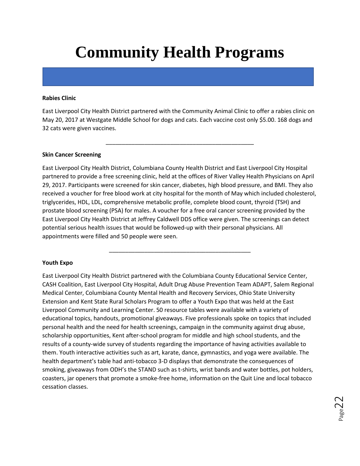# **Community Health Programs**

#### **Rabies Clinic**

East Liverpool City Health District partnered with the Community Animal Clinic to offer a rabies clinic on May 20, 2017 at Westgate Middle School for dogs and cats. Each vaccine cost only \$5.00. 168 dogs and 32 cats were given vaccines.

\_\_\_\_\_\_\_\_\_\_\_\_\_\_\_\_\_\_\_\_\_\_\_\_\_\_\_\_\_\_\_\_\_\_\_\_\_\_\_\_\_\_\_\_\_\_

#### **Skin Cancer Screening**

East Liverpool City Health District, Columbiana County Health District and East Liverpool City Hospital partnered to provide a free screening clinic, held at the offices of River Valley Health Physicians on April 29, 2017. Participants were screened for skin cancer, diabetes, high blood pressure, and BMI. They also received a voucher for free blood work at city hospital for the month of May which included cholesterol, triglycerides, HDL, LDL, comprehensive metabolic profile, complete blood count, thyroid (TSH) and prostate blood screening (PSA) for males. A voucher for a free oral cancer screening provided by the East Liverpool City Health District at Jeffrey Caldwell DDS office were given. The screenings can detect potential serious health issues that would be followed-up with their personal physicians. All appointments were filled and 50 people were seen.

\_\_\_\_\_\_\_\_\_\_\_\_\_\_\_\_\_\_\_\_\_\_\_\_\_\_\_\_\_\_\_\_\_\_\_\_\_\_\_\_\_\_\_\_

#### **Youth Expo**

East Liverpool City Health District partnered with the Columbiana County Educational Service Center, CASH Coalition, East Liverpool City Hospital, Adult Drug Abuse Prevention Team ADAPT, Salem Regional Medical Center, Columbiana County Mental Health and Recovery Services, Ohio State University Extension and Kent State Rural Scholars Program to offer a Youth Expo that was held at the East Liverpool Community and Learning Center. 50 resource tables were available with a variety of educational topics, handouts, promotional giveaways. Five professionals spoke on topics that included personal health and the need for health screenings, campaign in the community against drug abuse, scholarship opportunities, Kent after-school program for middle and high school students, and the results of a county-wide survey of students regarding the importance of having activities available to them. Youth interactive activities such as art, karate, dance, gymnastics, and yoga were available. The health department's table had anti-tobacco 3-D displays that demonstrate the consequences of smoking, giveaways from ODH's the STAND such as t-shirts, wrist bands and water bottles, pot holders, coasters, jar openers that promote a smoke-free home, information on the Quit Line and local tobacco cessation classes.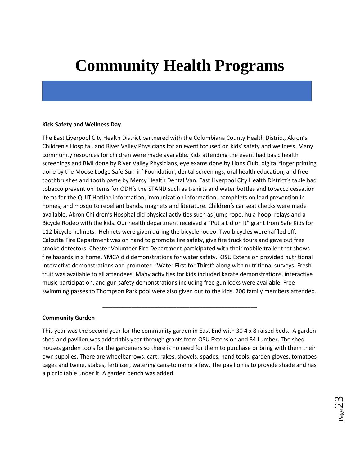# **Community Health Programs**

#### **Kids Safety and Wellness Day**

The East Liverpool City Health District partnered with the Columbiana County Health District, Akron's Children's Hospital, and River Valley Physicians for an event focused on kids' safety and wellness. Many community resources for children were made available. Kids attending the event had basic health screenings and BMI done by River Valley Physicians, eye exams done by Lions Club, digital finger printing done by the Moose Lodge Safe Surnin' Foundation, dental screenings, oral health education, and free toothbrushes and tooth paste by Mercy Health Dental Van. East Liverpool City Health District's table had tobacco prevention items for ODH's the STAND such as t-shirts and water bottles and tobacco cessation items for the QUIT Hotline information, immunization information, pamphlets on lead prevention in homes, and mosquito repellant bands, magnets and literature. Children's car seat checks were made available. Akron Children's Hospital did physical activities such as jump rope, hula hoop, relays and a Bicycle Rodeo with the kids. Our health department received a "Put a Lid on It" grant from Safe Kids for 112 bicycle helmets. Helmets were given during the bicycle rodeo. Two bicycles were raffled off. Calcutta Fire Department was on hand to promote fire safety, give fire truck tours and gave out free smoke detectors. Chester Volunteer Fire Department participated with their mobile trailer that shows fire hazards in a home. YMCA did demonstrations for water safety. OSU Extension provided nutritional interactive demonstrations and promoted "Water First for Thirst" along with nutritional surveys. Fresh fruit was available to all attendees. Many activities for kids included karate demonstrations, interactive music participation, and gun safety demonstrations including free gun locks were available. Free swimming passes to Thompson Park pool were also given out to the kids. 200 family members attended.

#### **Community Garden**

This year was the second year for the community garden in East End with 30 4 x 8 raised beds. A garden shed and pavilion was added this year through grants from OSU Extension and 84 Lumber. The shed houses garden tools for the gardeners so there is no need for them to purchase or bring with them their own supplies. There are wheelbarrows, cart, rakes, shovels, spades, hand tools, garden gloves, tomatoes cages and twine, stakes, fertilizer, watering cans-to name a few. The pavilion is to provide shade and has a picnic table under it. A garden bench was added.

\_\_\_\_\_\_\_\_\_\_\_\_\_\_\_\_\_\_\_\_\_\_\_\_\_\_\_\_\_\_\_\_\_\_\_\_\_\_\_\_\_\_\_\_\_\_\_\_

Page23